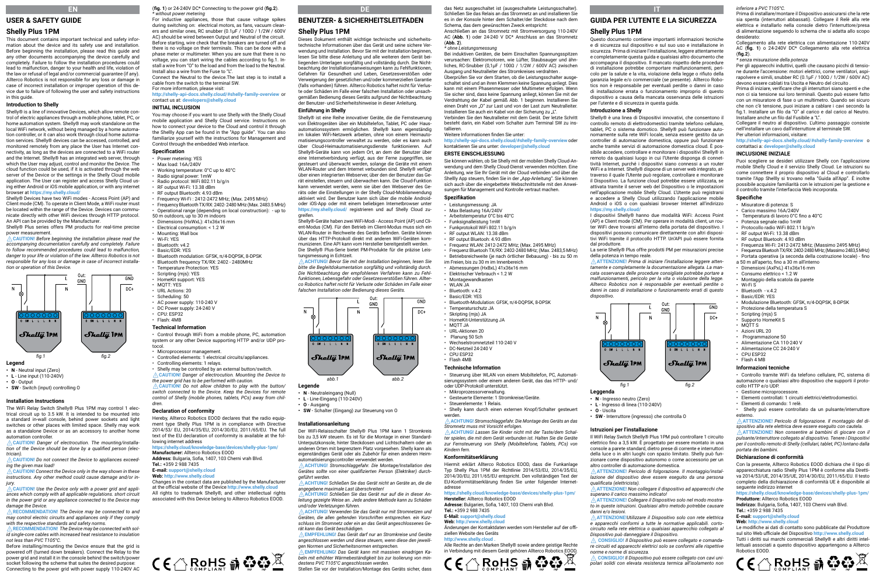# **EN USER & SAFETY GUIDE**

# **Shelly Plus 1PM**

This document contains important technical and safety information about the device and its safety use and installation. Before beginning the installation, please read this guide and any other documents accompanying the device carefully and completely. Failure to follow the installation procedures could lead to malfunction, danger to your health and life, violation of the law or refusal of legal and/or commercial guarantee (if any). Allterco Robotics is not responsible for any loss or damage in case of incorrect installation or improper operation of this device due to failure of following the user and safety instructions in this guide.

# **Introduction to Shelly**

Shelly® is a line of innovative Devices, which allow remote control of electric appliances through a mobile phone, tablet, PC, or home automation system. Shelly® may work standalone on the local WiFi network, without being managed by a home automation controller, or it can also work through cloud home automation services. Shelly® devices can be accessed, controlled, and monitored remotely from any place the User has Internet connectivity, as long as the devices are connected to a WiFi router and the Internet. Shelly® has an integrated web server, through which the User may adjust, control and monitor the Device. The cloud function could be used, if it is activated through the web server of the Device or the settings in the Shelly Cloud mobile application. The User can register and access Shelly Cloud using either Android or iOS mobile application, or with any internet browser at **https://my.shelly.cloud/**

Shelly® Devices have two WiFi modes - Access Point (AP) and Client mode (CM). To operate in Client Mode, a WiFi router must be located within the range of the Device. Devices can communicate directly with other WiFi devices through HTTP protocol. An API can be provided by the Manufacturer. Shelly® Plus series offers PM products for real-time precise

power measurement. ⚠**CAUTION!** *Before beginning the installation please read the* 

*accompanying documentation carefully and completely. Failure to follow recommended procedures could lead to malfunction, danger to your life or violation of the law. Allterco Robotics is not responsible for any loss or damage in case of incorrect installation or operation of this Device.*



## **Legend**

- **• N**  Neutral input (Zero)
- **• L** Line input (110-240V)
- **• O** Output
- **• SW** Switch (input) controlling O

## **Installation Instructions**

The WiFi Relay Switch Shelly® Plus 1PM may control 1 electrical circuit up to 3.5 kW. It is intended to be mounted into a standard in-wall console, behind power sockets and light switches or other places with limited space. Shelly may work as a standalone Device or as an accessory to another home automation controller.

⚠**CAUTION!** *Danger of electrocution. The mounting/installation of the Device should be done by a qualified person (electrician).*

⚠**CAUTION!** *Do not connect the Device to appliances exceeding the given max load!*

⚠**CAUTION!** *Connect the Device only in the way shown in these instructions. Any other method could cause damage and/or injury.*

⚠**CAUTION!** *Use the Device only with a power grid and appliances which comply with all applicable regulations. short circuit in the power grid or any appliance connected to the Device may damage the Device.*

⚠**RECOMMENDATION!** *Тhe Device may be connected to and may control electric circuits and appliances only if they comply with the respective standards and safety norms.*

⚠**RECOMMENDATION!** *The Device may be connected with solid single-core cables with increased heat resistance to insulation not less than PVC T105°C.*

Before installing/mounting the Device ensure that the grid is powered off (turned down breakers). Connect the Relay to the power grid and install it in the console behind the switch/power socket following the scheme that suites the desired purpose: Connecting to the power grid with power supply 110-240V AC (**fig. 1**) or 24-240V DC\* Connecting to the power grid (**fig.2**). *\* without power metering*

For inductive appliances, those that cause voltage spikes during switching on: electrical motors, as fans, vacuum cleaners and similar ones, RC snubber (0.1µF / 100Ω / 1/2W / 600V AC) should be wired between Output and Neutral of the circuit. Before starting, wire check that the breakers are turned off and there is no voltage on their terminals. This can be done with a phase meter or multimeter. When you are sure that there is no voltage, you can start wiring the cables according to fig.1. Install a wire from "O" to the load and from the load to the Neutral. Install also a wire from the Fuse to "L". Connect the Neutral to the device.The last step is to install a

cable from the switch to the terminal SW. For more information, please visit:

# **http://shelly-api-docs.shelly.cloud/#shelly-family-overview** or contact us at: **developers@shelly.cloud**

# **INITIAL INCLUSION**

You may choose if you want to use Shelly with the Shelly Cloud mobile application and Shelly Cloud service. Instructions on how to connect your device to the Cloud and control it through the Shellly App can be found in the "App guide". You can also familiarize yourself with the instructions for Management and Control through the embedded Web interface.

## **Specification**

- Power metering: YES • Max load: 16A/240V
- Working temperature: 0°C up to 40°C
- Radio signal power: 1mW
- Radio protocol: WiFi 802.11 b/g/n
- RF output Wi-Fi: 13.38 dBm
- RE output Bluetooth: 4.93 dBm

• Frequency Wi-Fi · 2412-2472 MHz: (May. 2495 MHz) • Frequency Bluetooth TX/RX: 2402- 2480 MHz (Max. 2483.5 MHz)

- Operational range (depending on local construction): up to 50 m outdoors, up to 30 m indoors
- Dimensions (HyWyL): 41y36y16 mm
- 
- Electrical consumption: <1.2 W • Mounting: Wall box
- 
- Wi-Fi: YES
- Bluetooth: v4.2
- Basic/EDR: YES
- Bluetooth modulation: GFSK, π/4-DQPSK, 8-DPSK • Bluetooth frequency TX/RX: 2402 - 2480MHz
- Temperature Protection: YES
- 
- Scripting (mjs): YES
- HomeKit support: YES
- MQTT: YES
- URL Actions: 20
- Scheduling: 50
- 
- AC power supply: 110-240 V
- DC Power supply: 24-240 V
- CPU: ESP32 • Flash: 4MB

## **Technical Information**

• Control through WiFi from a mobile phone, PC, automation system or any other Device supporting HTTP and/or UDP protocol.

• Microprocessor management.

- Controlled elements: 1 electrical circuits/appliances.
- Controlling elements: 1 relays.

• Shelly may be controlled by an external button/switch. ⚠**CAUTION!** *Danger of electrocution. Mounting the Device to the power grid has to be performed with caution.* ⚠**CAUTION!** *Do not allow children to play with the button/* 

*switch connected to the Device. Keep the Devices for remote control of Shelly (mobile phones, tablets, PCs) away from children.*

## **Declaration of conformity**

Hereby, Allterco Robotics EOOD declares that the radio equipment type Shelly Plus 1PM is in compliance with Directive 2014/53/ EU, 2014/35/EU, 2014/30/EU, 2011/65/EU. The full text of the EU declaration of conformity is available at the following internet address **https://shelly.cloud/knowledge-base/devices/shelly-plus-1pm/** 

**Manufacturer:** Allterco Robotics EOOD **Address:** Bulgaria, Sofia, 1407, 103 Cherni vrah Blvd.

**Tel.:** +359 2 988 7435 **E-mail: support@shelly.cloud** 

### **Web: http://www.shelly.cloud**

Changes in the contact data are published by the Manufacturer at the official website of the Device **http://www.shelly.cloud** All rights to trademark Shelly®, and other intellectual rights associated with this Device belong to Allterco Robotics EOOD.



**DE BENUTZER- & SICHERHEITSLEITFADEN**

# **Shelly Plus 1PM**

Dieses Dokument enthält wichtige technische und sicherheitstechnische Informationen über das Gerät und seine sichere Verwendung und Installation. Bevor Sie mit der Installation beginnen, lesen Sie bitte diese Anleitung und alle weiteren dem Gerät beiliegenden Unterlagen sorgfältig und vollständig durch. Die Nichtbeachtung der Installationsanweisungen kann zu Fehlfunktionen, Gefahren für Gesundheit und Leben, Gesetzesverstößen oder Verweigerung der gesetzlichen und/oder kommerziellen Garantie (falls vorhanden) führen. Allterco Robotics haftet nicht für Verluste oder Schäden im Falle einer falschen Installation oder unsachgemäßen Bedienung dieses Geräts aufgrund der Nichtbeachtung der Benutzer- und Sicherheitshinweise in dieser Anleitung.

# **Einführung in Shelly**

Shelly® ist eine Reihe innovativer Geräte, die die Fernsteuerung von Elektrogeräten über ein Mobiltelefon, Tablet, PC oder Hausautomationssystem ermöglichen. Shelly® kann eigenständig im lokalen WiFi-Netzwerk arbeiten, ohne von einem Heimautomatisierungscontroller verwaltet zu werden, oder es kann auch über Cloud-Heimautomatisierungsdienste funktionieren. Auf Shelly®-Geräte kann von jedem Ort, an dem der Benutzer über eine Internetverbindung verfügt, aus der Ferne zugegriffen, sie gesteuert und überwacht werden, solange die Geräte mit einem WLAN-Router und dem Internet verbunden sind. Shelly® verfügt über einen integrierten Webserver, über den der Benutzer das Gerät einstellen, steuern und überwachen kann. Die Cloud-Funktion kann verwendet werden, wenn sie über den Webserver des Geräts oder die Einstellungen in der Shelly Cloud-Mobilanwendung aktiviert wird. Der Benutzer kann sich über die mobile Androidoder iOS-App oder mit einem beliebigen Internetbrowser unter **https://my.shelly.cloud/** registrieren und auf Shelly Cloud zugreifen.

Shelly®-Geräte haben zwei WiFi-Modi - Access Point (AP) und Client-Modus (CM). Für den Betrieb im Client-Modus muss sich ein WLAN-Router in Reichweite des Geräts befinden. Geräte können über das HTTP-Protokoll direkt mit anderen WiFi-Geräten kommunizieren. Eine API kann vom Hersteller bereitgestellt werden. Die Shelly® Plus-Serie bietet PM-Produkte für die präzise Leistungsmessung in Echtzeit.

⚠**ACHTUNG!** *Bevor Sie mit der Installation beginnen, lesen Sie bitte die Begleitdokumentation sorgfältig und vollständig durch. Die Nichtbeachtung der empfohlenen Verfahren kann zu Fehlfunktionen, Lebensgefahr oder Gesetzesverstößen führen. Allterco Robotics haftet nicht für Verluste oder Schäden im Falle einer falschen Installation oder Bedienung dieses Geräts.*



- **• N** Neutraleingang (Null) **• L** - Line-Eingang (110-240V)
- **• O** Ausgang
- **• SW** Schalter (Eingang) zur Steuerung von O

#### **Installationsanleitung**

Der WiFi-Relaisschalter Shelly® Plus 1PM kann 1 Stromkreis bis zu 3,5 kW steuern. Es ist für die Montage in einer Standard-Unterputzkonsole, hinter Steckdosen und Lichtschaltern oder an anderen Orten mit begrenztem Platz vorgesehen. Shelly kann als eigenständiges Gerät oder als Zubehör für einen anderen Heimautomatisierungscontroller verwendet werden.

⚠**ACHTUNG!** *Stromschlaggefahr. Die Montage/Installation des Gerätes sollte von einer qualifizierten Person (Elektriker) durchgeführt werden.*

⚠**ACHTUNG!** *Schließen Sie das Gerät nicht an Geräte an, die die angegebene maximale Last überschreiten!*

⚠**ACHTUNG!** *Schließen Sie das Gerät nur auf die in dieser Anleitung gezeigte Weise an. Jede andere Methode kann zu Schäden und/oder Verletzungen führen.*

⚠**ACHTUNG!** *Verwenden Sie das Gerät nur mit Stromnetzen und Geräten, die allen geltenden Vorschriften entsprechen. ein Kurzschluss im Stromnetz oder ein an das Gerät angeschlossenes Gerät kann das Gerät beschädigen.*

⚠**EMPFEHLUNG!** *Das Gerät darf nur an Stromkreise und Geräte angeschlossen werden und diese steuern, wenn diese den jeweiligen Normen und Sicherheitsnormen entsprechen.*

⚠**EMPFEHLUNG!** *Das Gerät kann mit massiven einadrigen Kabeln mit erhöhter Wärmebeständigkeit bis zur Isolierung von mindestens PVC T105°C angeschlossen werden.* Stellen Sie vor der Installation/Montage des Geräts sicher, dass

das Netz ausgeschaltet ist (ausgeschaltete Leistungsschalter). Schließen Sie das Relais an das Stromnetz an und installieren Sie es in der Konsole hinter dem Schalter/der Steckdose nach dem Schema, das dem gewünschten Zweck entspricht: Anschließen an das Stromnetz mit Stromversorgung 110-240V

**IT GUIDA PER L'UTENTE E LA SICUREZZA** *inferiore a PVC T105°C.*

*\* senza misurazione della potenza*

Installare anche un filo dal Fusibile a "L".

Per ulteriori informazioni, visitare:

contattaci a: **developer@shelly.cloud INCLUSIONE INIZIALE**

desiderato:

**Specifiche** • Misuratore di potenza: S • Carico massimo 16A/240V • Temperatura di lavoro 0°C fino a 40°C • Potenza segnale radio 1mW • Protocollo radio WiFi 802.11 b/g/n • RE output Wi-Fi: 13.38 dBm • RF output Bluetooh: 4.93 dBm

• Wi-Fi S • Bluetooth - v 4.2 • Basic/EDR: YES

 $\overline{GND}$ 

 $\overline{DC}$ +

• CPU ESP32 • Flash 4 MB **Informazioni tecniche**

esterno.

collo HTTP e/o UDP. • Gestione microprocessore.

*portata dei bambini.* **Dichiarazione di conformità**

seguente indirizzo internet

**Tel.:** +359 2 988 7435 **E-mail: support@shelly.cloud Web: http://www.shelly.cloud**

**Produttore:** Allterco Robotics EOOD **Indirizzo:** Bulgaria, Sofia, 1407, 103 Cherni vrah Blvd.

• Elementi di comando: 1 relè.

 $(fin 2)$ 

Prima di installare/montare il Dispositivo assicurarsi che la rete sia spenta (interruttori abbassati). Collegare il Relè alla rete elettrica e installarlo nella console dietro l'interruttore/presa di alimentazione seguendo lo schema che si adatta allo scopo

Collegamento alla rete elettrica con alimentazione 110-240V AC (**fig. 1**) o 24-240V DC\* Collegamento alla rete elettrica

Per gli apparecchi induttivi, quelli che causano picchi di tensione durante l'accensione: motori elettrici, come ventilatori, aspirapolvere e simili, snubber RC (0.1µF / 100Ω / 1/2W / 600V AC) devono essere cablati tra Uscita e Neutro del circuito . Prima di iniziare, verificare che gli interruttori siano spenti e che non ci sia tensione sui loro terminali. Questo può essere fatto con un misuratore di fase o un multimetro. Quando sei sicuro che non c'è tensione, puoi iniziare a cablare i cavi secondo la fig.1. Installare un filo da "O" al carico e dal carico al Neutro.

Collegare il neutro al dispositivo. L'ultimo passaggio consiste nell'installare un cavo dall'interruttore al terminale SW.

**http://shelly-api-docs.shelly.cloud/#shelly-family-overview** o

Puoi scegliere se desideri utilizzare Shelly con l'applicazione mobile Shelly Cloud e il servizio Shelly Cloud. Le istruzioni su come connettere il proprio dispositivo al Cloud e controllarlo tramite l'App Shellly si trovano nella "Guida all'App". È inoltre possibile acquisire familiarità con le istruzioni per la gestione e il controllo tramite l'interfaccia Web incorporata.

• Frequenza Wi-Fi: 2412-2472 MHz: (Massimo 2495 MHz) • Frequenza Bluetooh TX/RX: 2402-2480 MHz; (Massimo 2483,5 MHz) • Portata operativa (a seconda della costruzione locale) - fino

• Modulazione Bluetooth: GFSK, π/4-DQPSK, 8-DPSK

• Controllo tramite WiFi da telefono cellulare, PC, sistema di automazione o qualsiasi altro dispositivo che supporti il proto-

• Shelly può essere controllato da un pulsante/interruttore

⚠**ATTENZIONE!** *Pericolo di folgorazione. Il montaggio del dispositivo alla rete elettrica deve essere eseguito con cautela.* ⚠**ATTENZIONE!** *Non consentire ai bambini di giocare con il pulsante/interruttore collegato al dispositivo. Tenere i Dispositivi per il controllo remoto di Shelly (cellulari, tablet, PC) lontano dalla* 

Con la presente, Allterco Robotics EOOD dichiara che il tipo di apparecchiatura radio Shelly Plus 1PM è conforme alla Direttiva 2014/53/UE, 2014/35/UE, 2014/30/EU, 2011/65/EU. Il testo completo della dichiarazione di conformità UE è disponibile al

**https://shelly.cloud/knowledge-base/devices/shelly-plus-1pm/**

Le modifiche ai dati di contatto sono pubblicate dal Produttore sul sito Web ufficiale del Dispositivo **http://www.shelly.cloud** Tutti i diritti sui marchi commerciali Shelly® e altri diritti intellettuali associati a questo dispositivo appartengono a Allterco  $\mathsf{C}\mathsf{C}\mathfrak{S}$   $\mathbb{C}^{\mathsf{D}\mathsf{C}\mathsf{D}\mathsf{C}\mathsf{D}\mathsf{D}}$   $\mathbb{R}$   $\mathbb{C}\mathsf{P}\mathfrak{S}$   $\mathbb{Z}$ 

• Elementi controllati: 1 circuiti elettrici/elettrodomestici.

a 50 m all'aperto, fino a 30 m all'interno • Dimensioni (AxPxL) 41x36x16 mm • Consumo elettrico < 1.2 W • Montaggio della scatola da parete

• Protezione della temperatura S • Scripting (mjs) S • Supporto HomeKit S  $·$  MOTTS • Azioni URL 20 • Programmazione 50 • Alimentazione CA 110-240 V • Alimentazione CC 24-240 V

Questo documento contiene importanti informazioni tecniche e di sicurezza sul dispositivo e sul suo uso e installazione in sicurezza. Prima di iniziare l'installazione, leggere attentamente e completamente questa guida e qualsiasi altro documento che accompagna il dispositivo. Il mancato rispetto delle procedure di installazione potrebbe comportare malfunzionamenti, pericolo per la salute e la vita, violazione della legge o rifiuto della garanzia legale e/o commerciale (se presente). Allterco Robotics non è responsabile per eventuali perdite o danni in caso di installazione errata o funzionamento improprio di questo dispositivo a causa della mancata osservanza delle istruzioni

Shelly® è una linea di Dispositivi innovativi, che consentono il controllo remoto di elettrodomestici tramite telefono cellulare, tablet, PC o sistema domotico. Shelly® può funzionare autonomamente sulla rete WiFi locale, senza essere gestito da un controller di automazione domestica, oppure può funzionare anche tramite servizi di automazione domestica cloud. È possibile accedere, controllare e monitorare i dispositivi Shelly® in remoto da qualsiasi luogo in cui l'Utente disponga di connettività Internet, purché i dispositivi siano connessi a un router WiFi e a Internet. Shelly® dispone di un server web integrato, attraverso il quale l'Utente può regolare, controllare e monitorare il Dispositivo. La funzione cloud potrebbe essere utilizzata, se attivata tramite il server web del Dispositivo o le impostazioni nell'applicazione mobile Shelly Cloud. L'Utente può registrarsi e accedere a Shelly Cloud utilizzando l'applicazione mobile Android o iOS o con qualsiasi browser Internet all'indirizzo

I dispositivi Shelly® hanno due modalità WiFi: Access Point (AP) e Client mode (CM). Per operare in modalità client, un router WiFi deve trovarsi all'interno della portata del dispositivo. I dispositivi possono comunicare direttamente con altri dispositivi WiFi tramite il protocollo HTTP. Un'API può essere fornita

La serie Shelly® Plus offre prodotti PM per misurazioni precise

⚠**ATTENZIONE!** *Prima di iniziare l'installazione leggere attentamente e completamente la documentazione allegata. La mancata osservanza delle procedure consigliate potrebbe portare a malfunzionamenti, pericolo per la vita o violazione della legge. Allterco Robotics non è responsabile per eventuali perdite o danni in caso di installazione o funzionamento errati di questo* 

Out

GND

ੇ੦੦

0 SW L L L N N

Sholly IPM

*fig.1 fig.2*

Il WiFi Relay Switch Shelly® Plus 1PM può controllare 1 circuito elettrico fino a 3,5 kW. È progettato per essere montato in una console a parete standard, dietro prese di corrente e interruttori della luce o in altri luoghi con spazio limitato. Shelly può funzionare come dispositivo autonomo o come accessorio per un

⚠**ATTENZIONE!** *Pericolo di folgorazione. Il montaggio/installazione del dispositivo deve essere eseguito da una persona* 

⚠**ATTENZIONE!** *Non collegare il dispositivo ad apparecchi che* 

⚠**ATTENZIONE!** *Collegare il Dispositivo solo nel modo mostrato in queste istruzioni. Qualsiasi altro metodo potrebbe causare* 

⚠**ATTENZIONE!***Utilizzare il Dispositivo solo con rete elettrica e apparecchi conformi a tutte le normative applicabili. cortocircuito nella rete elettrica o qualsiasi apparecchio collegato al* 

⚠ **CONSIGLIO!** *Il Dispositivo può essere collegato e comandare circuiti ed apparecchi elettrici solo se conformi alle rispettive* 

⚠ **CONSIGLIO!** *Il Dispositivo può essere collegato con cavi unipolari solidi con elevata resistenza termica all'isolamento non* 

**Shelly Plus 1PM**

**Introduzione a Shelly**

https://my.shelly.clo

dal produttore.

*dispositivo.*

 $\overline{N}$ 

**Leggenda**

**• O** - Uscita

**• N** - Ingresso neutro (Zero) **• L** - Ingresso di linea (110-240V)

O SW L L L N N

*Sholli*ï IPM

**Istruzioni per l'installazione**

*qualificata (elettricista).*

*danni e/o lesioni.*

**• SW** - Interruttore (ingresso) che controlla O

altro controller di automazione domestica.

*superano il carico massimo indicato!*

*Dispositivo può danneggiare il Dispositivo.*

*norme e norme di sicurezza.*

della potenza in tempo reale.

per l'utente e di sicurezza in questa guida.

AC (**Abb. 1**) oder 24-240 V DC\* Anschluss an das Stromnetz (**Abb. 2**).

### *\* ohne Leistungsmessung*

Bei induktiven Geräten, die beim Einschalten Spannungsspitzen verursachen: Elektromotoren, wie Lüfter, Staubsauger und ähnliches, RC-Snubber (0,1µF / 100Ω / 1/2W / 600V AC) zwischen Ausgang und Neutralleiter des Stromkreises verdrahten . Überprüfen Sie vor dem Starten, ob die Leistungsschalter ausgeschaltet sind und an ihren Klemmen keine Spannung anliegt. Dies kann mit einem Phasenmesser oder Multimeter erfolgen. Wenn Sie sicher sind, dass keine Spannung anliegt, können Sie mit der Verdrahtung der Kabel gemäß Abb. 1 beginnen. Installieren Sie einen Draht von "O" zur Last und von der Last zum Neutralleiter. Installieren Sie auch ein Kabel von der Sicherung zu "L". Verbinden Sie den Neutralleiter mit dem Gerät. Der letzte Schritt

besteht darin, ein Kabel vom Schalter zum Terminal SW zu ins-

tallieren.

#### Weitere Informationen finden Sie unter: **http://shelly-api-docs.shelly.cloud/#shelly-family-overview** oder

kontaktieren Sie uns unter: **developer@shelly.cloud**

• Frequenz WLAN: 2412-2472 МHz; (Max. 2495 MHz) • Frequenz Bluetooh TX/RX: 2402-2480 MHz; (Max. 2483,5 MHz) • Betriebsreichweite (je nach örtlicher Bebauung) - bis zu 50 m

• Bluetooth-Modulation: GFSK, π/4-DQPSK, 8-DPSK

• Steuerung über WLAN von einem Mobiltelefon, PC, Automatisierungssystem oder einem anderen Gerät, das das HTTP- und/

• Shelly kann durch einen externen Knopf/Schalter gesteuert

⚠**ACHTUNG!** *Stromschlaggefahr. Die Montage des Geräts an das* 

⚠**ACHTUNG!** *Lassen Sie Kinder nicht mit der Taste/dem Schalter spielen, die mit dem Gerät verbunden ist. Halten Sie die Geräte zur Fernsteuerung von Shelly (Mobiltelefone, Tablets, PCs) von* 

Hiermit erklärt Allterco Robotics EOOD, dass die Funkanlage Typ Shelly Plus 1PM der Richtlinie 2014/53/EU, 2014/35/EU, 2014/30/EU, 2011/65/EU entspricht. Den vollständigen Text der EU-Konformitätserklärung finden Sie unter folgender Internet-

**https://shelly.cloud/knowledge-base/devices/shelly-plus-1pm/** 

Änderungen der Kontaktdaten werden vom Hersteller auf der offi-

Alle Rechte an den Marken Shelly® sowie andere geistige Rechte in Verbindung mit diesem Gerät gehören Allterco Robotics EOOD.<br>
C C C BOHLS A CALLANT

**Adresse:** Bulgarien, Sofia, 1407, 103 Cherni vrah Blvd.

**ERSTE EINSCHLIESSUNG** Sie können wählen, ob Sie Shelly mit der mobilen Shelly Cloud-Anwendung und dem Shelly Cloud-Dienst verwenden möchten. Eine Anleitung, wie Sie Ihr Gerät mit der Cloud verbinden und über die Shellly App steuern, finden Sie in der "App-Anleitung". Sie können sich auch über die eingebettete Webschnittstelle mit den Anweisungen für Management und Kontrolle vertraut machen.

# **Spezifikation**

• Leistungsmessung: JA • Max Belastung 16A/240V

> • Arbeitstemperatur 0°C bis 40°C • Funksignalleistung 1mW • Funkprotokoll WiFi 802.11 b/g/n • RF output WLAN: 13.38 dBm • RF output Bluetooh: 4.93 dBm

im Freien, bis zu 30 m im Innenbereich  $\cdot$  Abmessungen (HxBxL) 41x36x16 mm • Elektrischer Verbrauch < 1.2 W • Montagewandkasten • WLAN JA • Bluetooth: v.4.2 • Basic/EDR: YES

• Temperaturschutz JA • Skrinting (mis) JA • HomeKit-Unterstützung JA

oder UDP-Protokoll unterstützt. • Mikroprozessorverwaltung.

• Steuerelemente: 1 Relais.

*Stromnetz muss mit Vorsicht erfolgen.*

**Hersteller:** Allterco Robotics EOOD

**Tel.:** +359 2 988 7435 **E-Mail: support@shelly.cloud Web: http://www.shelly.cloud**

ziellen Website des Geräts **http://www.shelly.cloud .** 

• Gesteuerte Elemente: 1 Stromkreise/Geräte.

• MQTT JA • URL-Aktionen 20 • Planung 50 Sch • Wechselstromnetzteil 110-240 V • DC-Netzteil 24-240 V • CPU ESP32 • Flash 4MB **Technische Information**

werden.

*Kindern fern.* **Konformitätserklärung**

adresse